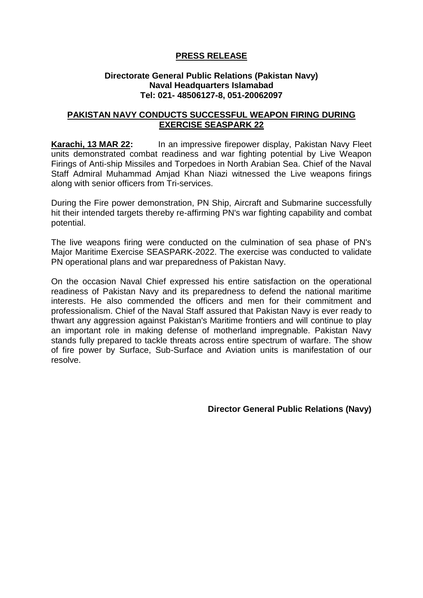## **PRESS RELEASE**

## **Directorate General Public Relations (Pakistan Navy) Naval Headquarters Islamabad Tel: 021- 48506127-8, 051-20062097**

## **PAKISTAN NAVY CONDUCTS SUCCESSFUL WEAPON FIRING DURING EXERCISE SEASPARK 22**

**Karachi, 13 MAR 22:** In an impressive firepower display, Pakistan Navy Fleet units demonstrated combat readiness and war fighting potential by Live Weapon Firings of Anti-ship Missiles and Torpedoes in North Arabian Sea. Chief of the Naval Staff Admiral Muhammad Amjad Khan Niazi witnessed the Live weapons firings along with senior officers from Tri-services.

During the Fire power demonstration, PN Ship, Aircraft and Submarine successfully hit their intended targets thereby re-affirming PN's war fighting capability and combat potential.

The live weapons firing were conducted on the culmination of sea phase of PN's Major Maritime Exercise SEASPARK-2022. The exercise was conducted to validate PN operational plans and war preparedness of Pakistan Navy.

On the occasion Naval Chief expressed his entire satisfaction on the operational readiness of Pakistan Navy and its preparedness to defend the national maritime interests. He also commended the officers and men for their commitment and professionalism. Chief of the Naval Staff assured that Pakistan Navy is ever ready to thwart any aggression against Pakistan's Maritime frontiers and will continue to play an important role in making defense of motherland impregnable. Pakistan Navy stands fully prepared to tackle threats across entire spectrum of warfare. The show of fire power by Surface, Sub-Surface and Aviation units is manifestation of our resolve.

**Director General Public Relations (Navy)**